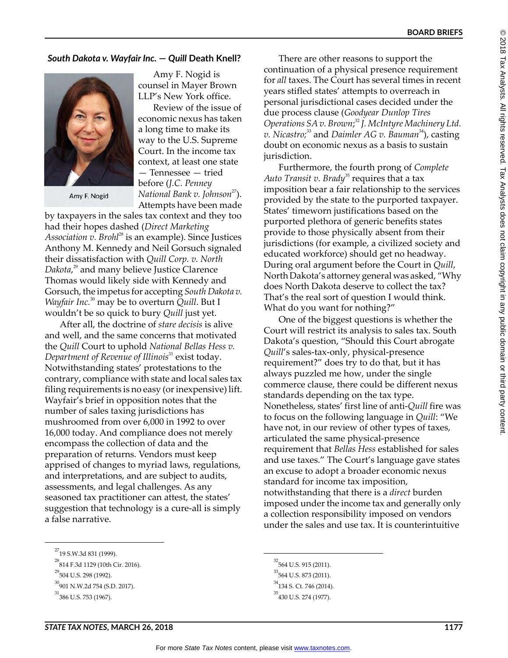## *South Dakota v. Wayfair Inc.* **—** *Quill* **Death Knell?**



Amy F. Nogid

Amy F. Nogid is counsel in Mayer Brown LLP's New York office.

Review of the issue of economic nexus has taken a long time to make its way to the U.S. Supreme Court. In the income tax context, at least one state — Tennessee — tried before (*J.C. Penney National Bank v. Johnson*<sup>27</sup>). Attempts have been made

by taxpayers in the sales tax context and they too had their hopes dashed (*Direct Marketing Association v. Brohl*<sup>28</sup> is an example). Since Justices Anthony M. Kennedy and Neil Gorsuch signaled their dissatisfaction with *Quill Corp. v. North Dakota*, 29 and many believe Justice Clarence Thomas would likely side with Kennedy and Gorsuch, the impetus for accepting *South Dakota v. Wayfair Inc.*30 may be to overturn *Quill*. But I wouldn't be so quick to bury *Quill* just yet.

After all, the doctrine of *stare decisis* is alive and well, and the same concerns that motivated the *Quill* Court to uphold *National Bellas Hess v.*  Department of Revenue of Illinois<sup>31</sup> exist today. Notwithstanding states' protestations to the contrary, compliance with state and local sales tax filing requirements is no easy (or inexpensive) lift. Wayfair's brief in opposition notes that the number of sales taxing jurisdictions has mushroomed from over 6,000 in 1992 to over 16,000 today. And compliance does not merely encompass the collection of data and the preparation of returns. Vendors must keep apprised of changes to myriad laws, regulations, and interpretations, and are subject to audits, assessments, and legal challenges. As any seasoned tax practitioner can attest, the states' suggestion that technology is a cure-all is simply a false narrative.

There are other reasons to support the continuation of a physical presence requirement for *all* taxes. The Court has several times in recent years stifled states' attempts to overreach in personal jurisdictional cases decided under the due process clause (*Goodyear Dunlop Tires Operations SA v. Brown*; <sup>32</sup> *J. McIntyre Machinery Ltd. v. Nicastro;*33 and *Daimler AG v. Bauman*34), casting doubt on economic nexus as a basis to sustain jurisdiction.

Furthermore, the fourth prong of *Complete*  Auto Transit v. Brady<sup>35</sup> requires that a tax imposition bear a fair relationship to the services provided by the state to the purported taxpayer. States' timeworn justifications based on the purported plethora of generic benefits states provide to those physically absent from their jurisdictions (for example, a civilized society and educated workforce) should get no headway. During oral argument before the Court in *Quill*, North Dakota's attorney general was asked, "Why does North Dakota deserve to collect the tax? That's the real sort of question I would think. What do you want for nothing?"

One of the biggest questions is whether the Court will restrict its analysis to sales tax. South Dakota's question, "Should this Court abrogate *Quill*'s sales-tax-only, physical-presence requirement?" does try to do that, but it has always puzzled me how, under the single commerce clause, there could be different nexus standards depending on the tax type. Nonetheless, states' first line of anti-*Quill* fire was to focus on the following language in *Quill*: "We have not, in our review of other types of taxes, articulated the same physical-presence requirement that *Bellas Hess* established for sales and use taxes." The Court's language gave states an excuse to adopt a broader economic nexus standard for income tax imposition, notwithstanding that there is a *direct* burden imposed under the income tax and generally only a collection responsibility imposed on vendors under the sales and use tax. It is counterintuitive

<sup>&</sup>lt;sup>27</sup>19 S.W.3d 831 (1999).

 $^{28}$ 814 F.3d 1129 (10th Cir. 2016).

<sup>&</sup>lt;sup>29</sup>504 U.S. 298 (1992).

<sup>&</sup>lt;sup>30</sup>901 N.W.2d 754 (S.D. 2017).

 $31$ <sub>386</sub> U.S. 753 (1967).

 $32$ 564 U.S. 915 (2011).

<sup>&</sup>lt;sup>33</sup>564 U.S. 873 (2011).

<sup>&</sup>lt;sup>34</sup>134 S. Ct. 746 (2014).

<sup>&</sup>lt;sup>35</sup>430 U.S. 274 (1977).